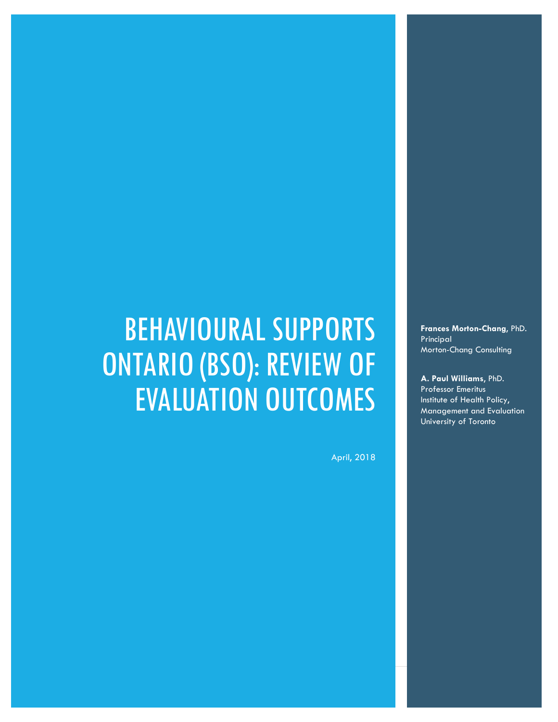# BEHAVIOURAL SUPPORTS ONTARIO (BSO): REVIEW OF EVALUATION OUTCOMES

April, 2018

**Frances Morton-Chang**, PhD. Principal Morton-Chang Consulting

**A. Paul Williams**, PhD. Professor Emeritus Institute of Health Policy, Management and Evaluation University of Toronto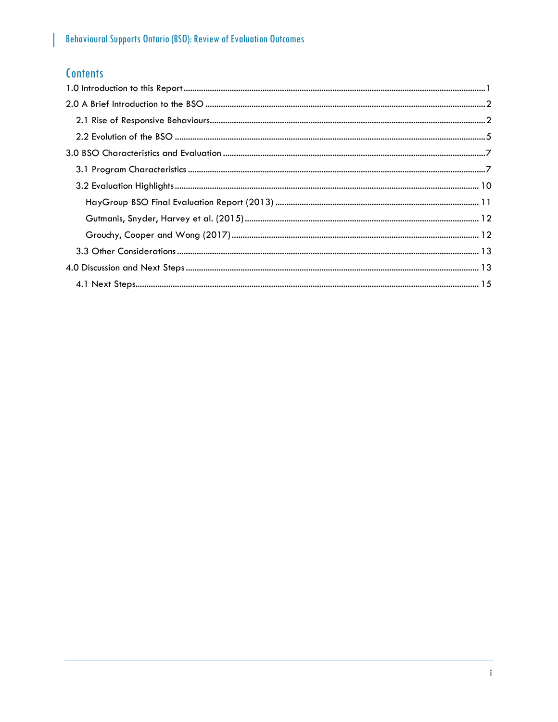# **Contents**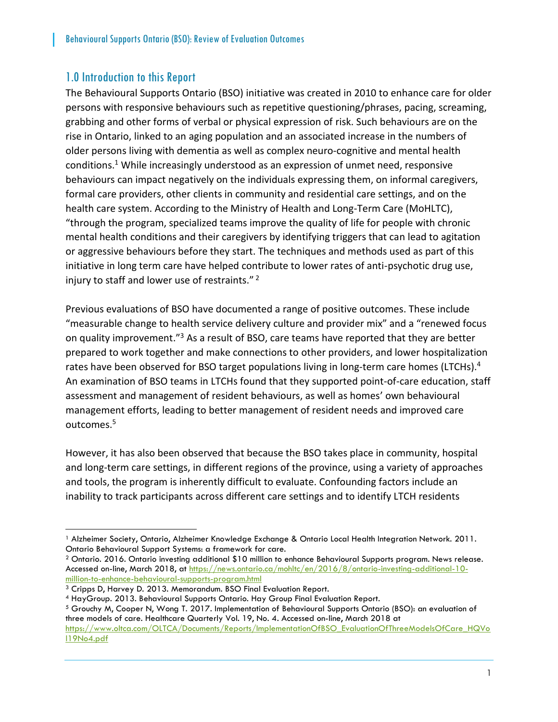### <span id="page-2-0"></span>1.0 Introduction to this Report

The Behavioural Supports Ontario (BSO) initiative was created in 2010 to enhance care for older persons with responsive behaviours such as repetitive questioning/phrases, pacing, screaming, grabbing and other forms of verbal or physical expression of risk. Such behaviours are on the rise in Ontario, linked to an aging population and an associated increase in the numbers of older persons living with dementia as well as complex neuro-cognitive and mental health conditions. <sup>1</sup> While increasingly understood as an expression of unmet need, responsive behaviours can impact negatively on the individuals expressing them, on informal caregivers, formal care providers, other clients in community and residential care settings, and on the health care system. According to the Ministry of Health and Long-Term Care (MoHLTC), "through the program, specialized teams improve the quality of life for people with chronic mental health conditions and their caregivers by identifying triggers that can lead to agitation or aggressive behaviours before they start. The techniques and methods used as part of this initiative in long term care have helped contribute to lower rates of anti-psychotic drug use, injury to staff and lower use of restraints." <sup>2</sup>

Previous evaluations of BSO have documented a range of positive outcomes. These include "measurable change to health service delivery culture and provider mix" and a "renewed focus on quality improvement."<sup>3</sup> As a result of BSO, care teams have reported that they are better prepared to work together and make connections to other providers, and lower hospitalization rates have been observed for BSO target populations living in long-term care homes (LTCHs).<sup>4</sup> An examination of BSO teams in LTCHs found that they supported point-of-care education, staff assessment and management of resident behaviours, as well as homes' own behavioural management efforts, leading to better management of resident needs and improved care outcomes.<sup>5</sup>

However, it has also been observed that because the BSO takes place in community, hospital and long-term care settings, in different regions of the province, using a variety of approaches and tools, the program is inherently difficult to evaluate. Confounding factors include an inability to track participants across different care settings and to identify LTCH residents

<sup>1</sup> Alzheimer Society, Ontario, Alzheimer Knowledge Exchange & Ontario Local Health Integration Network. 2011. Ontario Behavioural Support Systems: a framework for care.

<sup>2</sup> Ontario. 2016. Ontario investing additional \$10 million to enhance Behavioural Supports program. News release. Accessed on-line, March 2018, at [https://news.ontario.ca/mohltc/en/2016/8/ontario-investing-additional-10](https://news.ontario.ca/mohltc/en/2016/8/ontario-investing-additional-10-million-to-enhance-behavioural-supports-program.html) [million-to-enhance-behavioural-supports-program.html](https://news.ontario.ca/mohltc/en/2016/8/ontario-investing-additional-10-million-to-enhance-behavioural-supports-program.html)

<sup>3</sup> Cripps D, Harvey D. 2013. Memorandum. BSO Final Evaluation Report.

<sup>4</sup> HayGroup. 2013. Behavioural Supports Ontario. Hay Group Final Evaluation Report.

<sup>5</sup> Grouchy M, Cooper N, Wong T. 2017. Implementation of Behavioural Supports Ontario (BSO): an evaluation of three models of care. Healthcare Quarterly Vol. 19, No. 4. Accessed on-line, March 2018 at [https://www.oltca.com/OLTCA/Documents/Reports/ImplementationOfBSO\\_EvaluationOfThreeModelsOfCare\\_HQVo](https://www.oltca.com/OLTCA/Documents/Reports/ImplementationOfBSO_EvaluationOfThreeModelsOfCare_HQVol19No4.pdf)

[l19No4.pdf](https://www.oltca.com/OLTCA/Documents/Reports/ImplementationOfBSO_EvaluationOfThreeModelsOfCare_HQVol19No4.pdf)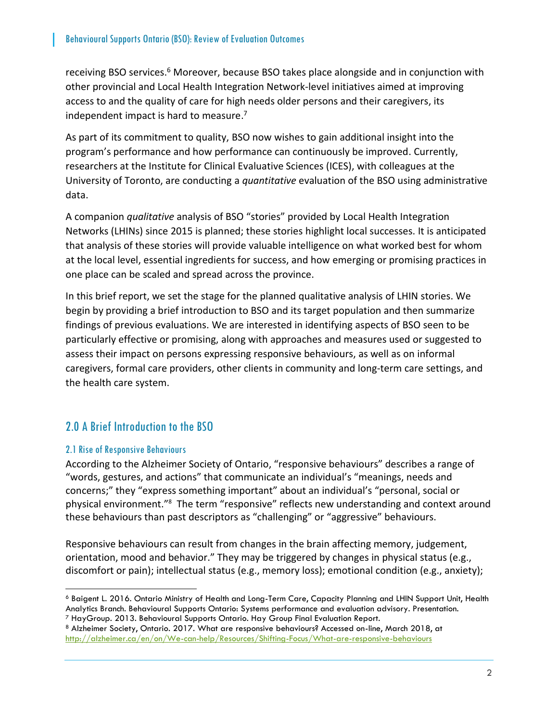receiving BSO services.<sup>6</sup> Moreover, because BSO takes place alongside and in conjunction with other provincial and Local Health Integration Network-level initiatives aimed at improving access to and the quality of care for high needs older persons and their caregivers, its independent impact is hard to measure.<sup>7</sup>

As part of its commitment to quality, BSO now wishes to gain additional insight into the program's performance and how performance can continuously be improved. Currently, researchers at the Institute for Clinical Evaluative Sciences (ICES), with colleagues at the University of Toronto, are conducting a *quantitative* evaluation of the BSO using administrative data.

A companion *qualitative* analysis of BSO "stories" provided by Local Health Integration Networks (LHINs) since 2015 is planned; these stories highlight local successes. It is anticipated that analysis of these stories will provide valuable intelligence on what worked best for whom at the local level, essential ingredients for success, and how emerging or promising practices in one place can be scaled and spread across the province.

In this brief report, we set the stage for the planned qualitative analysis of LHIN stories. We begin by providing a brief introduction to BSO and its target population and then summarize findings of previous evaluations. We are interested in identifying aspects of BSO seen to be particularly effective or promising, along with approaches and measures used or suggested to assess their impact on persons expressing responsive behaviours, as well as on informal caregivers, formal care providers, other clients in community and long-term care settings, and the health care system.

# <span id="page-3-0"></span>2.0 A Brief Introduction to the BSO

#### <span id="page-3-1"></span>2.1 Rise of Responsive Behaviours

 $\overline{a}$ 

According to the Alzheimer Society of Ontario, "responsive behaviours" describes a range of "words, gestures, and actions" that communicate an individual's "meanings, needs and concerns;" they "express something important" about an individual's "personal, social or physical environment."<sup>8</sup> The term "responsive" reflects new understanding and context around these behaviours than past descriptors as "challenging" or "aggressive" behaviours.

Responsive behaviours can result from changes in the brain affecting memory, judgement, orientation, mood and behavior." They may be triggered by changes in physical status (e.g., discomfort or pain); intellectual status (e.g., memory loss); emotional condition (e.g., anxiety);

<sup>6</sup> Baigent L. 2016. Ontario Ministry of Health and Long-Term Care, Capacity Planning and LHIN Support Unit, Health Analytics Branch. Behavioural Supports Ontario: Systems performance and evaluation advisory. Presentation. <sup>7</sup> HayGroup. 2013. Behavioural Supports Ontario. Hay Group Final Evaluation Report.

<sup>8</sup> Alzheimer Society, Ontario. 2017. What are responsive behaviours? Accessed on-line, March 2018, at <http://alzheimer.ca/en/on/We-can-help/Resources/Shifting-Focus/What-are-responsive-behaviours>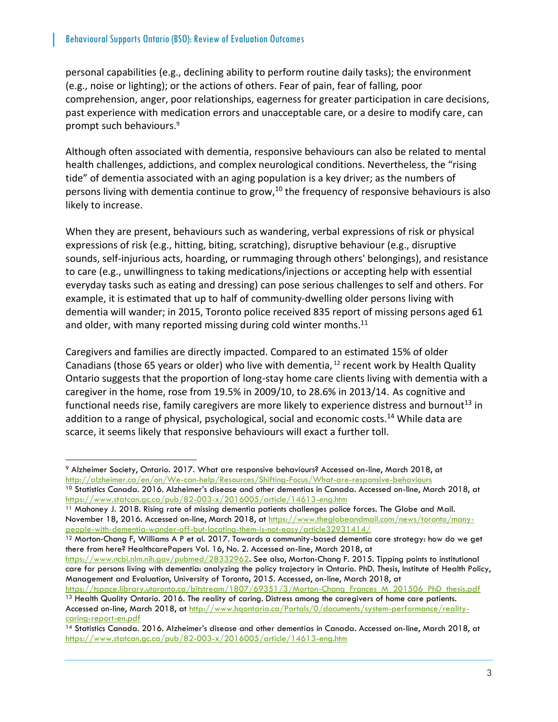personal capabilities (e.g., declining ability to perform routine daily tasks); the environment (e.g., noise or lighting); or the actions of others. Fear of pain, fear of falling, poor comprehension, anger, poor relationships, eagerness for greater participation in care decisions, past experience with medication errors and unacceptable care, or a desire to modify care, can prompt such behaviours.<sup>9</sup>

Although often associated with dementia, responsive behaviours can also be related to mental health challenges, addictions, and complex neurological conditions. Nevertheless, the "rising tide" of dementia associated with an aging population is a key driver; as the numbers of persons living with dementia continue to grow,  $10$  the frequency of responsive behaviours is also likely to increase.

When they are present, behaviours such as wandering, verbal expressions of risk or physical expressions of risk (e.g., hitting, biting, scratching), disruptive behaviour (e.g., disruptive sounds, self-injurious acts, hoarding, or rummaging through others' belongings), and resistance to care (e.g., unwillingness to taking medications/injections or accepting help with essential everyday tasks such as eating and dressing) can pose serious challenges to self and others. For example, it is estimated that up to half of community-dwelling older persons living with dementia will wander; in 2015, Toronto police received 835 report of missing persons aged 61 and older, with many reported missing during cold winter months.<sup>11</sup>

Caregivers and families are directly impacted. Compared to an estimated 15% of older Canadians (those 65 years or older) who live with dementia,  $12$  recent work by Health Quality Ontario suggests that the proportion of long-stay home care clients living with dementia with a caregiver in the home, rose from 19.5% in 2009/10, to 28.6% in 2013/14. As cognitive and functional needs rise, family caregivers are more likely to experience distress and burnout<sup>13</sup> in addition to a range of physical, psychological, social and economic costs.<sup>14</sup> While data are scarce, it seems likely that responsive behaviours will exact a further toll.

<sup>9</sup> Alzheimer Society, Ontario. 2017. What are responsive behaviours? Accessed on-line, March 2018, at <http://alzheimer.ca/en/on/We-can-help/Resources/Shifting-Focus/What-are-responsive-behaviours>

<sup>&</sup>lt;sup>10</sup> Statistics Canada. 2016. Alzheimer's disease and other dementias in Canada. Accessed on-line, March 2018, at <https://www.statcan.gc.ca/pub/82-003-x/2016005/article/14613-eng.htm>

<sup>&</sup>lt;sup>11</sup> Mahoney J. 2018. Rising rate of missing dementia patients challenges police forces. The Globe and Mail. November 18, 2016. Accessed on-line, March 2018, at [https://www.theglobeandmail.com/news/toronto/many](https://www.theglobeandmail.com/news/toronto/many-people-with-dementia-wander-off-but-locating-them-is-not-easy/article32931414/)[people-with-dementia-wander-off-but-locating-them-is-not-easy/article32931414/](https://www.theglobeandmail.com/news/toronto/many-people-with-dementia-wander-off-but-locating-them-is-not-easy/article32931414/)

<sup>&</sup>lt;sup>12</sup> Morton-Chang F, Williams A P et al. 2017. Towards a community-based dementia care strategy: how do we get there from here? HealthcarePapers Vol. 16, No. 2. Accessed on-line, March 2018, at

[https://www.ncbi.nlm.nih.gov/pubmed/28332962.](https://www.ncbi.nlm.nih.gov/pubmed/28332962) See also, Morton-Chang F. 2015. Tipping points to institutional care for persons living with dementia: analyzing the policy trajectory in Ontario. PhD. Thesis, Institute of Health Policy, Management and Evaluation, University of Toronto, 2015. Accessed, on-line, March 2018, at

[https://tspace.library.utoronto.ca/bitstream/1807/69351/3/Morton-Chang\\_Frances\\_M\\_201506\\_PhD\\_thesis.pdf](https://tspace.library.utoronto.ca/bitstream/1807/69351/3/Morton-Chang_Frances_M_201506_PhD_thesis.pdf) <sup>13</sup> Health Quality Ontario. 2016. The reality of caring. Distress among the caregivers of home care patients. Accessed on-line, March 2018, at [http://www.hqontario.ca/Portals/0/documents/system-performance/reality](http://www.hqontario.ca/Portals/0/documents/system-performance/reality-caring-report-en.pdf)[caring-report-en.pdf](http://www.hqontario.ca/Portals/0/documents/system-performance/reality-caring-report-en.pdf)

<sup>&</sup>lt;sup>14</sup> Statistics Canada. 2016. Alzheimer's disease and other dementias in Canada. Accessed on-line, March 2018, at <https://www.statcan.gc.ca/pub/82-003-x/2016005/article/14613-eng.htm>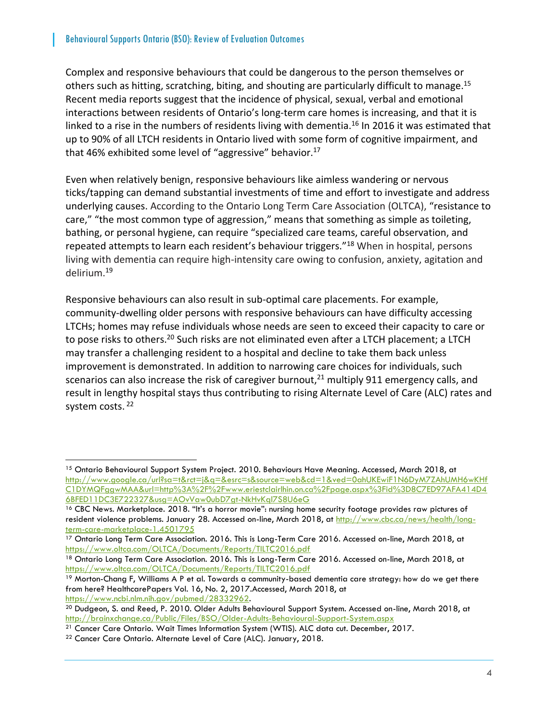Complex and responsive behaviours that could be dangerous to the person themselves or others such as hitting, scratching, biting, and shouting are particularly difficult to manage.<sup>15</sup> Recent media reports suggest that the incidence of physical, sexual, verbal and emotional interactions between residents of Ontario's long-term care homes is increasing, and that it is linked to a rise in the numbers of residents living with dementia.<sup>16</sup> In 2016 it was estimated that up to 90% of all LTCH residents in Ontario lived with some form of cognitive impairment, and that 46% exhibited some level of "aggressive" behavior.<sup>17</sup>

Even when relatively benign, responsive behaviours like aimless wandering or nervous ticks/tapping can demand substantial investments of time and effort to investigate and address underlying causes. According to the Ontario Long Term Care Association (OLTCA), "resistance to care," "the most common type of aggression," means that something as simple as toileting, bathing, or personal hygiene, can require "specialized care teams, careful observation, and repeated attempts to learn each resident's behaviour triggers."<sup>18</sup> When in hospital, persons living with dementia can require high-intensity care owing to confusion, anxiety, agitation and delirium.<sup>19</sup>

Responsive behaviours can also result in sub-optimal care placements. For example, community-dwelling older persons with responsive behaviours can have difficulty accessing LTCHs; homes may refuse individuals whose needs are seen to exceed their capacity to care or to pose risks to others.<sup>20</sup> Such risks are not eliminated even after a LTCH placement; a LTCH may transfer a challenging resident to a hospital and decline to take them back unless improvement is demonstrated. In addition to narrowing care choices for individuals, such scenarios can also increase the risk of caregiver burnout, $21$  multiply 911 emergency calls, and result in lengthy hospital stays thus contributing to rising Alternate Level of Care (ALC) rates and system costs.<sup>22</sup>

<sup>&</sup>lt;sup>15</sup> Ontario Behavioural Support System Project. 2010. Behaviours Have Meaning. Accessed, March 2018, at [http://www.google.ca/url?sa=t&rct=j&q=&esrc=s&source=web&cd=1&ved=0ahUKEwiF1N6DyM7ZAhUMH6wKHf](http://www.google.ca/url?sa=t&rct=j&q=&esrc=s&source=web&cd=1&ved=0ahUKEwiF1N6DyM7ZAhUMH6wKHfC1DYMQFggwMAA&url=http%3A%2F%2Fwww.eriestclairlhin.on.ca%2Fpage.aspx%3Fid%3D8C7ED97AFA414D46BFED11DC3E722327&usg=AOvVaw0ubD7gt-NkHvKql7S8U6eG) [C1DYMQFggwMAA&url=http%3A%2F%2Fwww.eriestclairlhin.on.ca%2Fpage.aspx%3Fid%3D8C7ED97AFA414D4](http://www.google.ca/url?sa=t&rct=j&q=&esrc=s&source=web&cd=1&ved=0ahUKEwiF1N6DyM7ZAhUMH6wKHfC1DYMQFggwMAA&url=http%3A%2F%2Fwww.eriestclairlhin.on.ca%2Fpage.aspx%3Fid%3D8C7ED97AFA414D46BFED11DC3E722327&usg=AOvVaw0ubD7gt-NkHvKql7S8U6eG) [6BFED11DC3E722327&usg=AOvVaw0ubD7gt-NkHvKql7S8U6eG](http://www.google.ca/url?sa=t&rct=j&q=&esrc=s&source=web&cd=1&ved=0ahUKEwiF1N6DyM7ZAhUMH6wKHfC1DYMQFggwMAA&url=http%3A%2F%2Fwww.eriestclairlhin.on.ca%2Fpage.aspx%3Fid%3D8C7ED97AFA414D46BFED11DC3E722327&usg=AOvVaw0ubD7gt-NkHvKql7S8U6eG)

<sup>&</sup>lt;sup>16</sup> CBC News. Marketplace. 2018. "It's a horror movie": nursing home security footage provides raw pictures of resident violence problems. January 28. Accessed on-line, March 2018, at [http://www.cbc.ca/news/health/long](http://www.cbc.ca/news/health/long-term-care-marketplace-1.4501795)[term-care-marketplace-1.4501795](http://www.cbc.ca/news/health/long-term-care-marketplace-1.4501795)

<sup>&</sup>lt;sup>17</sup> Ontario Long Term Care Association. 2016. This is Long-Term Care 2016. Accessed on-line, March 2018, at <https://www.oltca.com/OLTCA/Documents/Reports/TILTC2016.pdf>

<sup>18</sup> Ontario Long Term Care Association. 2016. This is Long-Term Care 2016. Accessed on-line, March 2018, at <https://www.oltca.com/OLTCA/Documents/Reports/TILTC2016.pdf>

<sup>19</sup> Morton-Chang F, Williams A P et al. Towards a community-based dementia care strategy: how do we get there from here? HealthcarePapers Vol. 16, No. 2, 2017.Accessed, March 2018, at [https://www.ncbi.nlm.nih.gov/pubmed/28332962.](https://www.ncbi.nlm.nih.gov/pubmed/28332962) 

<sup>20</sup> Dudgeon, S. and Reed, P. 2010. Older Adults Behavioural Support System. Accessed on-line, March 2018, at <http://brainxchange.ca/Public/Files/BSO/Older-Adults-Behavioural-Support-System.aspx>

<sup>21</sup> Cancer Care Ontario. Wait Times Information System (WTIS). ALC data cut. December, 2017.

<sup>22</sup> Cancer Care Ontario. Alternate Level of Care (ALC). January, 2018.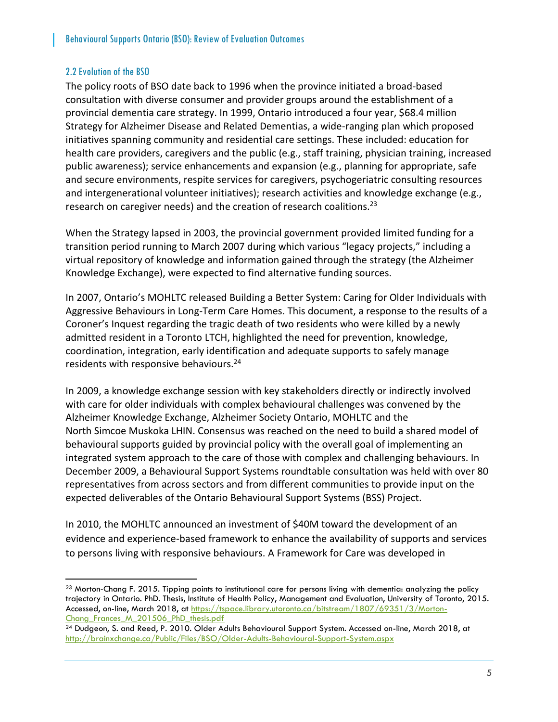#### <span id="page-6-0"></span>2.2 Evolution of the BSO

 $\overline{a}$ 

The policy roots of BSO date back to 1996 when the province initiated a broad-based consultation with diverse consumer and provider groups around the establishment of a provincial dementia care strategy. In 1999, Ontario introduced a four year, \$68.4 million Strategy for Alzheimer Disease and Related Dementias, a wide-ranging plan which proposed initiatives spanning community and residential care settings. These included: education for health care providers, caregivers and the public (e.g., staff training, physician training, increased public awareness); service enhancements and expansion (e.g., planning for appropriate, safe and secure environments, respite services for caregivers, psychogeriatric consulting resources and intergenerational volunteer initiatives); research activities and knowledge exchange (e.g., research on caregiver needs) and the creation of research coalitions.<sup>23</sup>

When the Strategy lapsed in 2003, the provincial government provided limited funding for a transition period running to March 2007 during which various "legacy projects," including a virtual repository of knowledge and information gained through the strategy (the Alzheimer Knowledge Exchange), were expected to find alternative funding sources.

In 2007, Ontario's MOHLTC released Building a Better System: Caring for Older Individuals with Aggressive Behaviours in Long-Term Care Homes. This document, a response to the results of a Coroner's Inquest regarding the tragic death of two residents who were killed by a newly admitted resident in a Toronto LTCH, highlighted the need for prevention, knowledge, coordination, integration, early identification and adequate supports to safely manage residents with responsive behaviours.<sup>24</sup>

In 2009, a knowledge exchange session with key stakeholders directly or indirectly involved with care for older individuals with complex behavioural challenges was convened by the Alzheimer Knowledge Exchange, Alzheimer Society Ontario, MOHLTC and the North Simcoe Muskoka LHIN. Consensus was reached on the need to build a shared model of behavioural supports guided by provincial policy with the overall goal of implementing an integrated system approach to the care of those with complex and challenging behaviours. In December 2009, a Behavioural Support Systems roundtable consultation was held with over 80 representatives from across sectors and from different communities to provide input on the expected deliverables of the Ontario Behavioural Support Systems (BSS) Project.

In 2010, the MOHLTC announced an investment of \$40M toward the development of an evidence and experience-based framework to enhance the availability of supports and services to persons living with responsive behaviours. A Framework for Care was developed in

 $^{23}$  Morton-Chang F. 2015. Tipping points to institutional care for persons living with dementia: analyzing the policy trajectory in Ontario. PhD. Thesis, Institute of Health Policy, Management and Evaluation, University of Toronto, 2015. Accessed, on-line, March 2018, at [https://tspace.library.utoronto.ca/bitstream/1807/69351/3/Morton-](https://tspace.library.utoronto.ca/bitstream/1807/69351/3/Morton-Chang_Frances_M_201506_PhD_thesis.pdf)[Chang\\_Frances\\_M\\_201506\\_PhD\\_thesis.pdf](https://tspace.library.utoronto.ca/bitstream/1807/69351/3/Morton-Chang_Frances_M_201506_PhD_thesis.pdf)

<sup>&</sup>lt;sup>24</sup> Dudgeon, S. and Reed, P. 2010. Older Adults Behavioural Support System. Accessed on-line, March 2018, at <http://brainxchange.ca/Public/Files/BSO/Older-Adults-Behavioural-Support-System.aspx>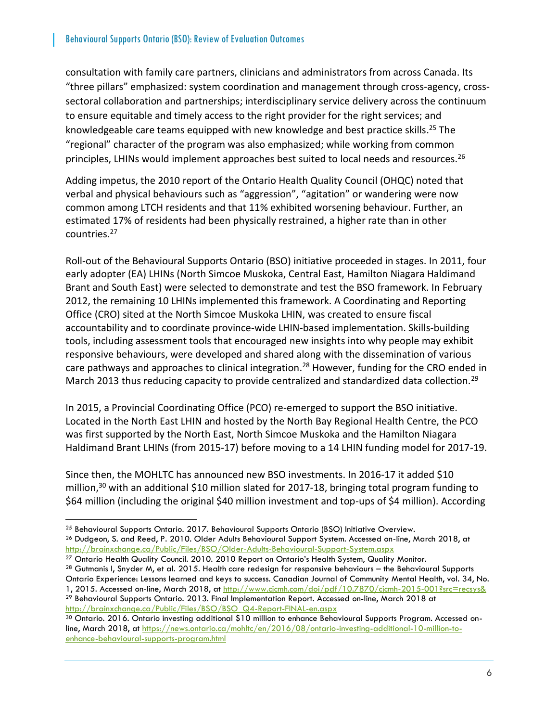consultation with family care partners, clinicians and administrators from across Canada. Its "three pillars" emphasized: system coordination and management through cross-agency, crosssectoral collaboration and partnerships; interdisciplinary service delivery across the continuum to ensure equitable and timely access to the right provider for the right services; and knowledgeable care teams equipped with new knowledge and best practice skills. <sup>25</sup> The "regional" character of the program was also emphasized; while working from common principles, LHINs would implement approaches best suited to local needs and resources.<sup>26</sup>

Adding impetus, the 2010 report of the Ontario Health Quality Council (OHQC) noted that verbal and physical behaviours such as "aggression", "agitation" or wandering were now common among LTCH residents and that 11% exhibited worsening behaviour. Further, an estimated 17% of residents had been physically restrained, a higher rate than in other countries.<sup>27</sup>

Roll-out of the Behavioural Supports Ontario (BSO) initiative proceeded in stages. In 2011, four early adopter (EA) LHINs (North Simcoe Muskoka, Central East, Hamilton Niagara Haldimand Brant and South East) were selected to demonstrate and test the BSO framework. In February 2012, the remaining 10 LHINs implemented this framework. A Coordinating and Reporting Office (CRO) sited at the North Simcoe Muskoka LHIN, was created to ensure fiscal accountability and to coordinate province-wide LHIN-based implementation. Skills-building tools, including assessment tools that encouraged new insights into why people may exhibit responsive behaviours, were developed and shared along with the dissemination of various care pathways and approaches to clinical integration.<sup>28</sup> However, funding for the CRO ended in March 2013 thus reducing capacity to provide centralized and standardized data collection.<sup>29</sup>

In 2015, a Provincial Coordinating Office (PCO) re-emerged to support the BSO initiative. Located in the North East LHIN and hosted by the North Bay Regional Health Centre, the PCO was first supported by the North East, North Simcoe Muskoka and the Hamilton Niagara Haldimand Brant LHINs (from 2015-17) before moving to a 14 LHIN funding model for 2017-19.

Since then, the MOHLTC has announced new BSO investments. In 2016-17 it added \$10 million,<sup>30</sup> with an additional \$10 million slated for 2017-18, bringing total program funding to \$64 million (including the original \$40 million investment and top-ups of \$4 million). According

<sup>27</sup> Ontario Health Quality Council. 2010. 2010 Report on Ontario's Health System, Quality Monitor.

<sup>29</sup> Behavioural Supports Ontario. 2013. Final Implementation Report. Accessed on-line, March 2018 at [http://brainxchange.ca/Public/Files/BSO/BSO\\_Q4-Report-FINAL-en.aspx](http://brainxchange.ca/Public/Files/BSO/BSO_Q4-Report-FINAL-en.aspx)

 <sup>25</sup> Behavioural Supports Ontario. 2017. Behavioural Supports Ontario (BSO) Initiative Overview.

<sup>26</sup> Dudgeon, S. and Reed, P. 2010. Older Adults Behavioural Support System. Accessed on-line, March 2018, at <http://brainxchange.ca/Public/Files/BSO/Older-Adults-Behavioural-Support-System.aspx>

<sup>28</sup> Gutmanis I, Snyder M, et al. 2015. Health care redesign for responsive behaviours - the Behavioural Supports Ontario Experience: Lessons learned and keys to success. Canadian Journal of Community Mental Health, vol. 34, No. 1, 2015. Accessed on-line, March 2018, at<http://www.cjcmh.com/doi/pdf/10.7870/cjcmh-2015-001?src=recsys&>

<sup>&</sup>lt;sup>30</sup> Ontario. 2016. Ontario investing additional \$10 million to enhance Behavioural Supports Program. Accessed online, March 2018, at [https://news.ontario.ca/mohltc/en/2016/08/ontario-investing-additional-10-million-to](https://news.ontario.ca/mohltc/en/2016/08/ontario-investing-additional-10-million-to-enhance-behavioural-supports-program.html)[enhance-behavioural-supports-program.html](https://news.ontario.ca/mohltc/en/2016/08/ontario-investing-additional-10-million-to-enhance-behavioural-supports-program.html)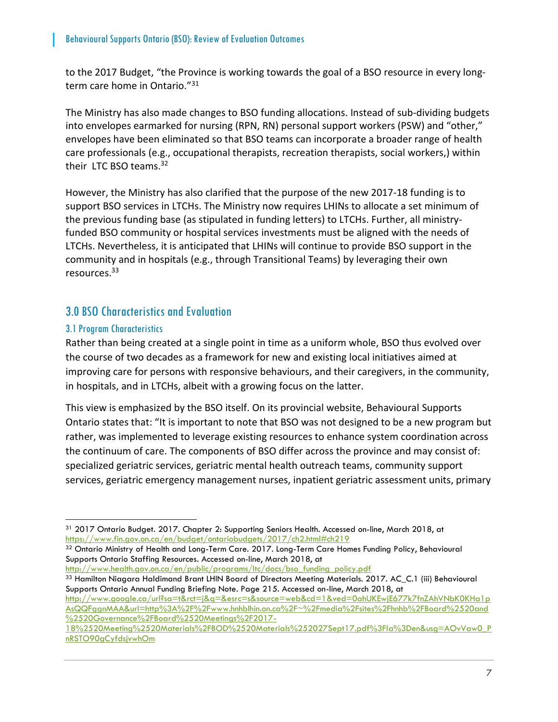to the 2017 Budget, "the Province is working towards the goal of a BSO resource in every longterm care home in Ontario."<sup>31</sup>

The Ministry has also made changes to BSO funding allocations. Instead of sub-dividing budgets into envelopes earmarked for nursing (RPN, RN) personal support workers (PSW) and "other," envelopes have been eliminated so that BSO teams can incorporate a broader range of health care professionals (e.g., occupational therapists, recreation therapists, social workers,) within their LTC BSO teams. 32

However, the Ministry has also clarified that the purpose of the new 2017-18 funding is to support BSO services in LTCHs. The Ministry now requires LHINs to allocate a set minimum of the previous funding base (as stipulated in funding letters) to LTCHs. Further, all ministryfunded BSO community or hospital services investments must be aligned with the needs of LTCHs. Nevertheless, it is anticipated that LHINs will continue to provide BSO support in the community and in hospitals (e.g., through Transitional Teams) by leveraging their own resources. 33

## <span id="page-8-0"></span>3.0 BSO Characteristics and Evaluation

#### <span id="page-8-1"></span>3.1 Program Characteristics

Rather than being created at a single point in time as a uniform whole, BSO thus evolved over the course of two decades as a framework for new and existing local initiatives aimed at improving care for persons with responsive behaviours, and their caregivers, in the community, in hospitals, and in LTCHs, albeit with a growing focus on the latter.

This view is emphasized by the BSO itself. On its provincial website, Behavioural Supports Ontario states that: "It is important to note that BSO was not designed to be a new program but rather, was implemented to leverage existing resources to enhance system coordination across the continuum of care. The components of BSO differ across the province and may consist of: specialized geriatric services, geriatric mental health outreach teams, community support services, geriatric emergency management nurses, inpatient geriatric assessment units, primary

32 Ontario Ministry of Health and Long-Term Care. 2017. Long-Term Care Homes Funding Policy, Behavioural Supports Ontario Staffing Resources. Accessed on-line, March 2018, at

[http://www.health.gov.on.ca/en/public/programs/ltc/docs/bso\\_funding\\_policy.pdf](http://www.health.gov.on.ca/en/public/programs/ltc/docs/bso_funding_policy.pdf)

<sup>33</sup> Hamilton Niagara Haldimand Brant LHIN Board of Directors Meeting Materials. 2017. AC\_C.1 (iii) Behavioural Supports Ontario Annual Funding Briefing Note. Page 215. Accessed on-line, March 2018, at

[http://www.google.ca/url?sa=t&rct=j&q=&esrc=s&source=web&cd=1&ved=0ahUKEwjE677k7fnZAhVNbK0KHa1p](http://www.google.ca/url?sa=t&rct=j&q=&esrc=s&source=web&cd=1&ved=0ahUKEwjE677k7fnZAhVNbK0KHa1pAsQQFggnMAA&url=http%3A%2F%2Fwww.hnhblhin.on.ca%2F~%2Fmedia%2Fsites%2Fhnhb%2FBoard%2520and%2520Governance%2FBoard%2520Meetings%2F2017-18%2520Meeting%2520Materials%2FBOD%2520Materials%252027Sept17.pdf%3Fla%3Den&usg=AOvVaw0_PnRSTO90gCyfdsjvwhOm) [AsQQFggnMAA&url=http%3A%2F%2Fwww.hnhblhin.on.ca%2F~%2Fmedia%2Fsites%2Fhnhb%2FBoard%2520and](http://www.google.ca/url?sa=t&rct=j&q=&esrc=s&source=web&cd=1&ved=0ahUKEwjE677k7fnZAhVNbK0KHa1pAsQQFggnMAA&url=http%3A%2F%2Fwww.hnhblhin.on.ca%2F~%2Fmedia%2Fsites%2Fhnhb%2FBoard%2520and%2520Governance%2FBoard%2520Meetings%2F2017-18%2520Meeting%2520Materials%2FBOD%2520Materials%252027Sept17.pdf%3Fla%3Den&usg=AOvVaw0_PnRSTO90gCyfdsjvwhOm) [%2520Governance%2FBoard%2520Meetings%2F2017-](http://www.google.ca/url?sa=t&rct=j&q=&esrc=s&source=web&cd=1&ved=0ahUKEwjE677k7fnZAhVNbK0KHa1pAsQQFggnMAA&url=http%3A%2F%2Fwww.hnhblhin.on.ca%2F~%2Fmedia%2Fsites%2Fhnhb%2FBoard%2520and%2520Governance%2FBoard%2520Meetings%2F2017-18%2520Meeting%2520Materials%2FBOD%2520Materials%252027Sept17.pdf%3Fla%3Den&usg=AOvVaw0_PnRSTO90gCyfdsjvwhOm)

 <sup>31</sup> 2017 Ontario Budget. 2017. Chapter 2: Supporting Seniors Health. Accessed on-line, March 2018, at <https://www.fin.gov.on.ca/en/budget/ontariobudgets/2017/ch2.html#ch219>

[<sup>18%2520</sup>Meeting%2520Materials%2FBOD%2520Materials%252027Sept17.pdf%3Fla%3Den&usg=AOvVaw0\\_P](http://www.google.ca/url?sa=t&rct=j&q=&esrc=s&source=web&cd=1&ved=0ahUKEwjE677k7fnZAhVNbK0KHa1pAsQQFggnMAA&url=http%3A%2F%2Fwww.hnhblhin.on.ca%2F~%2Fmedia%2Fsites%2Fhnhb%2FBoard%2520and%2520Governance%2FBoard%2520Meetings%2F2017-18%2520Meeting%2520Materials%2FBOD%2520Materials%252027Sept17.pdf%3Fla%3Den&usg=AOvVaw0_PnRSTO90gCyfdsjvwhOm) [nRSTO90gCyfdsjvwhOm](http://www.google.ca/url?sa=t&rct=j&q=&esrc=s&source=web&cd=1&ved=0ahUKEwjE677k7fnZAhVNbK0KHa1pAsQQFggnMAA&url=http%3A%2F%2Fwww.hnhblhin.on.ca%2F~%2Fmedia%2Fsites%2Fhnhb%2FBoard%2520and%2520Governance%2FBoard%2520Meetings%2F2017-18%2520Meeting%2520Materials%2FBOD%2520Materials%252027Sept17.pdf%3Fla%3Den&usg=AOvVaw0_PnRSTO90gCyfdsjvwhOm)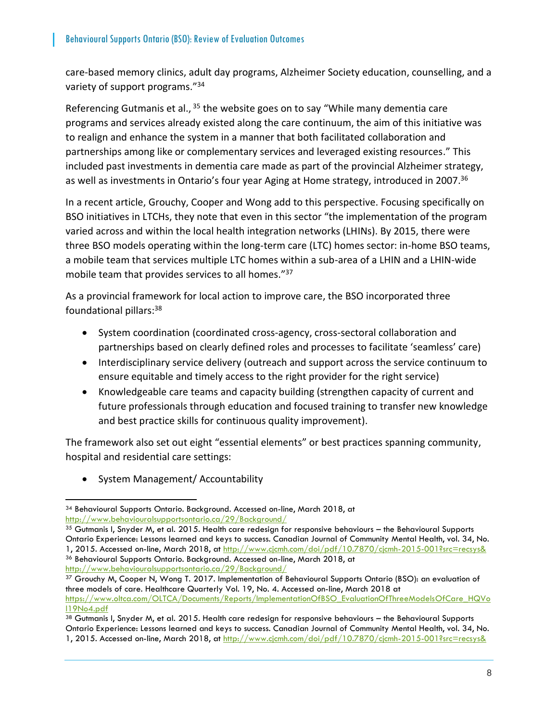care-based memory clinics, adult day programs, Alzheimer Society education, counselling, and a variety of support programs."<sup>34</sup>

Referencing Gutmanis et al., <sup>35</sup> the website goes on to say "While many dementia care programs and services already existed along the care continuum, the aim of this initiative was to realign and enhance the system in a manner that both facilitated collaboration and partnerships among like or complementary services and leveraged existing resources." This included past investments in dementia care made as part of the provincial Alzheimer strategy, as well as investments in Ontario's four year Aging at Home strategy, introduced in 2007.<sup>36</sup>

In a recent article, Grouchy, Cooper and Wong add to this perspective. Focusing specifically on BSO initiatives in LTCHs, they note that even in this sector "the implementation of the program varied across and within the local health integration networks (LHINs). By 2015, there were three BSO models operating within the long-term care (LTC) homes sector: in-home BSO teams, a mobile team that services multiple LTC homes within a sub-area of a LHIN and a LHIN-wide mobile team that provides services to all homes."<sup>37</sup>

As a provincial framework for local action to improve care, the BSO incorporated three foundational pillars:<sup>38</sup>

- System coordination (coordinated cross-agency, cross-sectoral collaboration and partnerships based on clearly defined roles and processes to facilitate 'seamless' care)
- Interdisciplinary service delivery (outreach and support across the service continuum to ensure equitable and timely access to the right provider for the right service)
- Knowledgeable care teams and capacity building (strengthen capacity of current and future professionals through education and focused training to transfer new knowledge and best practice skills for continuous quality improvement).

The framework also set out eight "essential elements" or best practices spanning community, hospital and residential care settings:

• System Management/ Accountability

<http://www.behaviouralsupportsontario.ca/29/Background/>

<sup>34</sup> Behavioural Supports Ontario. Background. Accessed on-line, March 2018, at <http://www.behaviouralsupportsontario.ca/29/Background/>

<sup>35</sup> Gutmanis I, Snyder M, et al. 2015. Health care redesign for responsive behaviours – the Behavioural Supports Ontario Experience: Lessons learned and keys to success. Canadian Journal of Community Mental Health, vol. 34, No. 1, 2015. Accessed on-line, March 2018, at<http://www.cjcmh.com/doi/pdf/10.7870/cjcmh-2015-001?src=recsys&> <sup>36</sup> Behavioural Supports Ontario. Background. Accessed on-line, March 2018, at

<sup>37</sup> Grouchy M, Cooper N, Wong T. 2017. Implementation of Behavioural Supports Ontario (BSO): an evaluation of three models of care. Healthcare Quarterly Vol. 19, No. 4. Accessed on-line, March 2018 at [https://www.oltca.com/OLTCA/Documents/Reports/ImplementationOfBSO\\_EvaluationOfThreeModelsOfCare\\_HQVo](https://www.oltca.com/OLTCA/Documents/Reports/ImplementationOfBSO_EvaluationOfThreeModelsOfCare_HQVol19No4.pdf) [l19No4.pdf](https://www.oltca.com/OLTCA/Documents/Reports/ImplementationOfBSO_EvaluationOfThreeModelsOfCare_HQVol19No4.pdf)

<sup>38</sup> Gutmanis I, Snyder M, et al. 2015. Health care redesign for responsive behaviours - the Behavioural Supports Ontario Experience: Lessons learned and keys to success. Canadian Journal of Community Mental Health, vol. 34, No. 1, 2015. Accessed on-line, March 2018, at http://www.cjcmh.com/doi/pdf/10.7870/cjcmh-2015-001?src=recsys&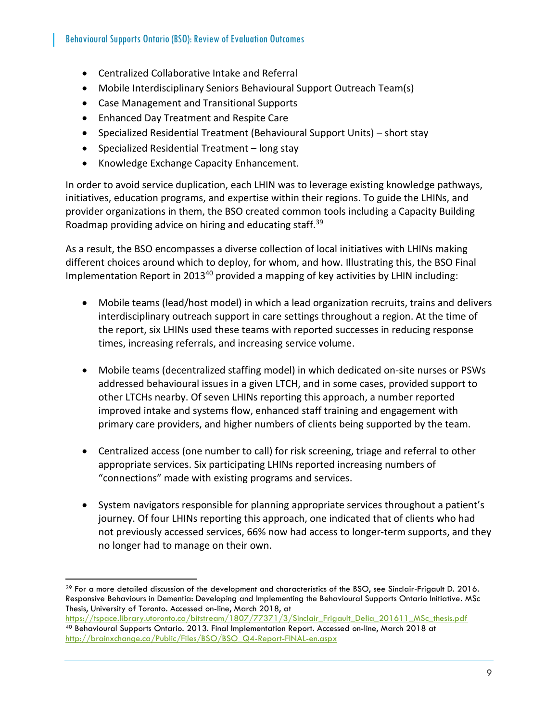- Centralized Collaborative Intake and Referral
- Mobile Interdisciplinary Seniors Behavioural Support Outreach Team(s)
- Case Management and Transitional Supports
- Enhanced Day Treatment and Respite Care
- Specialized Residential Treatment (Behavioural Support Units) short stay
- Specialized Residential Treatment long stay
- Knowledge Exchange Capacity Enhancement.

 $\overline{a}$ 

In order to avoid service duplication, each LHIN was to leverage existing knowledge pathways, initiatives, education programs, and expertise within their regions. To guide the LHINs, and provider organizations in them, the BSO created common tools including a Capacity Building Roadmap providing advice on hiring and educating staff.<sup>39</sup>

As a result, the BSO encompasses a diverse collection of local initiatives with LHINs making different choices around which to deploy, for whom, and how. Illustrating this, the BSO Final Implementation Report in 2013<sup>40</sup> provided a mapping of key activities by LHIN including:

- Mobile teams (lead/host model) in which a lead organization recruits, trains and delivers interdisciplinary outreach support in care settings throughout a region. At the time of the report, six LHINs used these teams with reported successes in reducing response times, increasing referrals, and increasing service volume.
- Mobile teams (decentralized staffing model) in which dedicated on-site nurses or PSWs addressed behavioural issues in a given LTCH, and in some cases, provided support to other LTCHs nearby. Of seven LHINs reporting this approach, a number reported improved intake and systems flow, enhanced staff training and engagement with primary care providers, and higher numbers of clients being supported by the team.
- Centralized access (one number to call) for risk screening, triage and referral to other appropriate services. Six participating LHINs reported increasing numbers of "connections" made with existing programs and services.
- System navigators responsible for planning appropriate services throughout a patient's journey. Of four LHINs reporting this approach, one indicated that of clients who had not previously accessed services, 66% now had access to longer-term supports, and they no longer had to manage on their own.

<sup>&</sup>lt;sup>39</sup> For a more detailed discussion of the development and characteristics of the BSO, see Sinclair-Frigault D. 2016. Responsive Behaviours in Dementia: Developing and Implementing the Behavioural Supports Ontario Initiative. MSc Thesis, University of Toronto. Accessed on-line, March 2018, at

[https://tspace.library.utoronto.ca/bitstream/1807/77371/3/Sinclair\\_Frigault\\_Delia\\_201611\\_MSc\\_thesis.pdf](https://tspace.library.utoronto.ca/bitstream/1807/77371/3/Sinclair_Frigault_Delia_201611_MSc_thesis.pdf) <sup>40</sup> Behavioural Supports Ontario. 2013. Final Implementation Report. Accessed on-line, March 2018 at [http://brainxchange.ca/Public/Files/BSO/BSO\\_Q4-Report-FINAL-en.aspx](http://brainxchange.ca/Public/Files/BSO/BSO_Q4-Report-FINAL-en.aspx)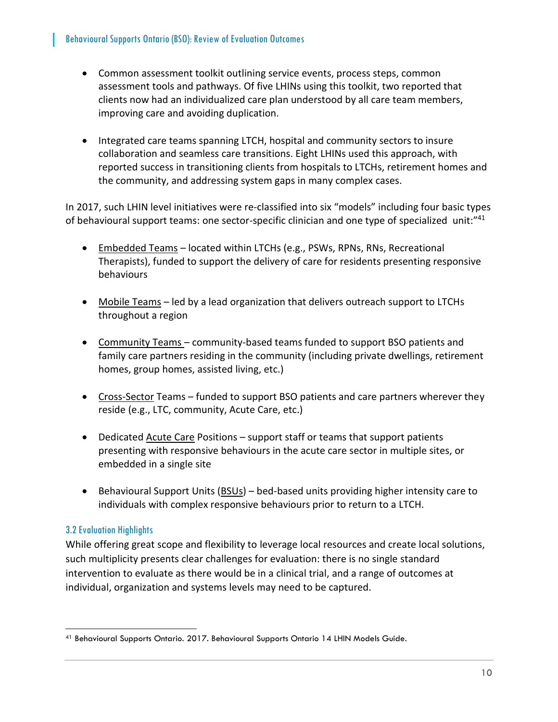- Common assessment toolkit outlining service events, process steps, common assessment tools and pathways. Of five LHINs using this toolkit, two reported that clients now had an individualized care plan understood by all care team members, improving care and avoiding duplication.
- Integrated care teams spanning LTCH, hospital and community sectors to insure collaboration and seamless care transitions. Eight LHINs used this approach, with reported success in transitioning clients from hospitals to LTCHs, retirement homes and the community, and addressing system gaps in many complex cases.

In 2017, such LHIN level initiatives were re-classified into six "models" including four basic types of behavioural support teams: one sector-specific clinician and one type of specialized unit:"<sup>41</sup>

- Embedded Teams located within LTCHs (e.g., PSWs, RPNs, RNs, Recreational Therapists), funded to support the delivery of care for residents presenting responsive behaviours
- Mobile Teams led by a lead organization that delivers outreach support to LTCHs throughout a region
- Community Teams community-based teams funded to support BSO patients and family care partners residing in the community (including private dwellings, retirement homes, group homes, assisted living, etc.)
- Cross-Sector Teams funded to support BSO patients and care partners wherever they reside (e.g., LTC, community, Acute Care, etc.)
- Dedicated Acute Care Positions support staff or teams that support patients presenting with responsive behaviours in the acute care sector in multiple sites, or embedded in a single site
- Behavioural Support Units (BSUs) bed-based units providing higher intensity care to individuals with complex responsive behaviours prior to return to a LTCH.

#### <span id="page-11-0"></span>3.2 Evaluation Highlights

 $\overline{a}$ 

While offering great scope and flexibility to leverage local resources and create local solutions, such multiplicity presents clear challenges for evaluation: there is no single standard intervention to evaluate as there would be in a clinical trial, and a range of outcomes at individual, organization and systems levels may need to be captured.

<sup>41</sup> Behavioural Supports Ontario. 2017. Behavioural Supports Ontario 14 LHIN Models Guide.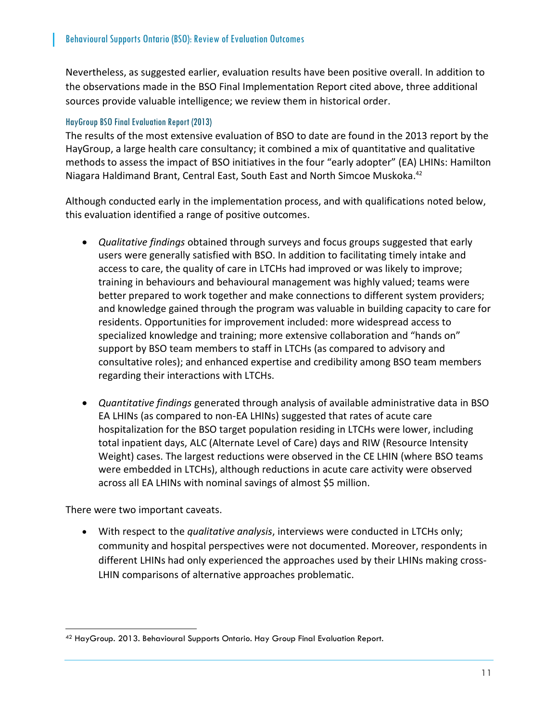Nevertheless, as suggested earlier, evaluation results have been positive overall. In addition to the observations made in the BSO Final Implementation Report cited above, three additional sources provide valuable intelligence; we review them in historical order.

#### <span id="page-12-0"></span>HayGroup BSO Final Evaluation Report (2013)

The results of the most extensive evaluation of BSO to date are found in the 2013 report by the HayGroup, a large health care consultancy; it combined a mix of quantitative and qualitative methods to assess the impact of BSO initiatives in the four "early adopter" (EA) LHINs: Hamilton Niagara Haldimand Brant, Central East, South East and North Simcoe Muskoka. 42

Although conducted early in the implementation process, and with qualifications noted below, this evaluation identified a range of positive outcomes.

- *Qualitative findings* obtained through surveys and focus groups suggested that early users were generally satisfied with BSO. In addition to facilitating timely intake and access to care, the quality of care in LTCHs had improved or was likely to improve; training in behaviours and behavioural management was highly valued; teams were better prepared to work together and make connections to different system providers; and knowledge gained through the program was valuable in building capacity to care for residents. Opportunities for improvement included: more widespread access to specialized knowledge and training; more extensive collaboration and "hands on" support by BSO team members to staff in LTCHs (as compared to advisory and consultative roles); and enhanced expertise and credibility among BSO team members regarding their interactions with LTCHs.
- *Quantitative findings* generated through analysis of available administrative data in BSO EA LHINs (as compared to non-EA LHINs) suggested that rates of acute care hospitalization for the BSO target population residing in LTCHs were lower, including total inpatient days, ALC (Alternate Level of Care) days and RIW (Resource Intensity Weight) cases. The largest reductions were observed in the CE LHIN (where BSO teams were embedded in LTCHs), although reductions in acute care activity were observed across all EA LHINs with nominal savings of almost \$5 million.

There were two important caveats.

 $\overline{a}$ 

• With respect to the *qualitative analysis*, interviews were conducted in LTCHs only; community and hospital perspectives were not documented. Moreover, respondents in different LHINs had only experienced the approaches used by their LHINs making cross-LHIN comparisons of alternative approaches problematic.

<sup>42</sup> HayGroup. 2013. Behavioural Supports Ontario. Hay Group Final Evaluation Report.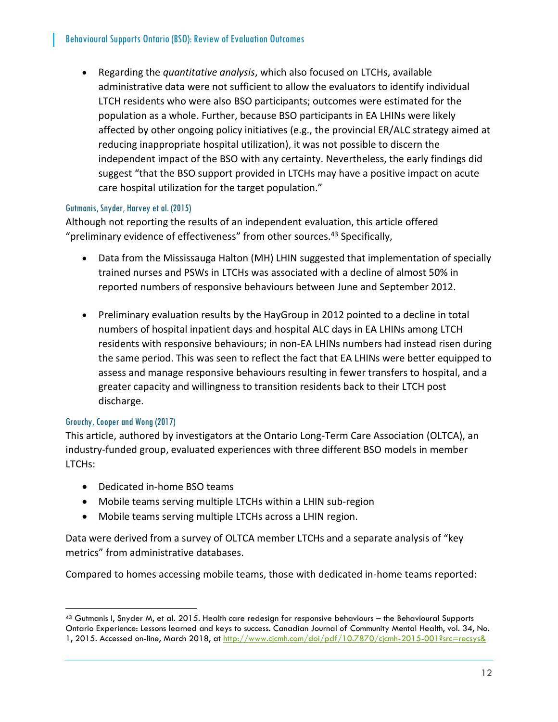• Regarding the *quantitative analysis*, which also focused on LTCHs, available administrative data were not sufficient to allow the evaluators to identify individual LTCH residents who were also BSO participants; outcomes were estimated for the population as a whole. Further, because BSO participants in EA LHINs were likely affected by other ongoing policy initiatives (e.g., the provincial ER/ALC strategy aimed at reducing inappropriate hospital utilization), it was not possible to discern the independent impact of the BSO with any certainty. Nevertheless, the early findings did suggest "that the BSO support provided in LTCHs may have a positive impact on acute care hospital utilization for the target population."

#### <span id="page-13-0"></span>Gutmanis, Snyder, Harvey et al. (2015)

Although not reporting the results of an independent evaluation, this article offered "preliminary evidence of effectiveness" from other sources.<sup>43</sup> Specifically,

- Data from the Mississauga Halton (MH) LHIN suggested that implementation of specially trained nurses and PSWs in LTCHs was associated with a decline of almost 50% in reported numbers of responsive behaviours between June and September 2012.
- Preliminary evaluation results by the HayGroup in 2012 pointed to a decline in total numbers of hospital inpatient days and hospital ALC days in EA LHINs among LTCH residents with responsive behaviours; in non-EA LHINs numbers had instead risen during the same period. This was seen to reflect the fact that EA LHINs were better equipped to assess and manage responsive behaviours resulting in fewer transfers to hospital, and a greater capacity and willingness to transition residents back to their LTCH post discharge.

#### <span id="page-13-1"></span>Grouchy, Cooper and Wong (2017)

 $\overline{a}$ 

This article, authored by investigators at the Ontario Long-Term Care Association (OLTCA), an industry-funded group, evaluated experiences with three different BSO models in member LTCHs:

- Dedicated in-home BSO teams
- Mobile teams serving multiple LTCHs within a LHIN sub-region
- Mobile teams serving multiple LTCHs across a LHIN region.

Data were derived from a survey of OLTCA member LTCHs and a separate analysis of "key metrics" from administrative databases.

Compared to homes accessing mobile teams, those with dedicated in-home teams reported:

<sup>43</sup> Gutmanis I, Snyder M, et al. 2015. Health care redesign for responsive behaviours - the Behavioural Supports Ontario Experience: Lessons learned and keys to success. Canadian Journal of Community Mental Health, vol. 34, No. 1, 2015. Accessed on-line, March 2018, at http://www.cjcmh.com/doi/pdf/10.7870/cjcmh-2015-001?src=recsys&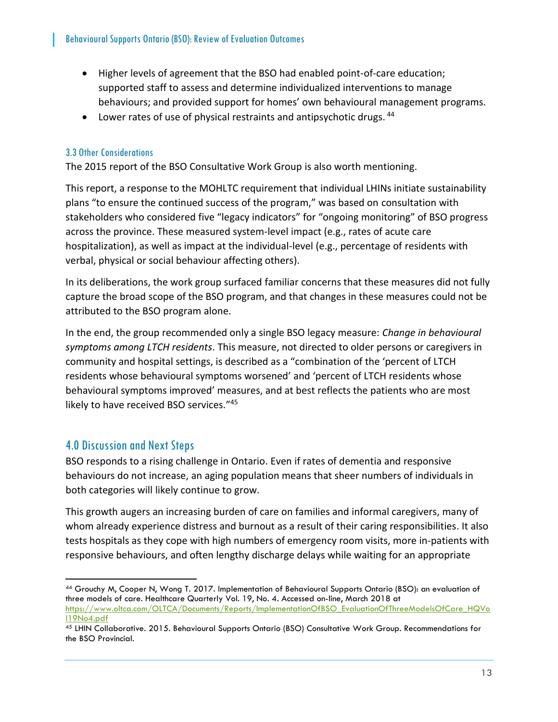- Higher levels of agreement that the BSO had enabled point-of-care education; supported staff to assess and determine individualized interventions to manage behaviours; and provided support for homes' own behavioural management programs.
- $\bullet$  Lower rates of use of physical restraints and antipsychotic drugs.  $44$

#### <span id="page-14-0"></span>3.3 Other Considerations

The 2015 report of the BSO Consultative Work Group is also worth mentioning.

This report, a response to the MOHLTC requirement that individual LHINs initiate sustainability plans "to ensure the continued success of the program," was based on consultation with stakeholders who considered five "legacy indicators" for "ongoing monitoring" of BSO progress across the province. These measured system-level impact (e.g., rates of acute care hospitalization), as well as impact at the individual-level (e.g., percentage of residents with verbal, physical or social behaviour affecting others).

In its deliberations, the work group surfaced familiar concerns that these measures did not fully capture the broad scope of the BSO program, and that changes in these measures could not be attributed to the BSO program alone.

In the end, the group recommended only a single BSO legacy measure: *Change in behavioural symptoms among LTCH residents*. This measure, not directed to older persons or caregivers in community and hospital settings, is described as a "combination of the 'percent of LTCH residents whose behavioural symptoms worsened' and 'percent of LTCH residents whose behavioural symptoms improved' measures, and at best reflects the patients who are most likely to have received BSO services."<sup>45</sup>

#### <span id="page-14-1"></span>4.0 Discussion and Next Steps

 $\overline{a}$ 

BSO responds to a rising challenge in Ontario. Even if rates of dementia and responsive behaviours do not increase, an aging population means that sheer numbers of individuals in both categories will likely continue to grow.

This growth augers an increasing burden of care on families and informal caregivers, many of whom already experience distress and burnout as a result of their caring responsibilities. It also tests hospitals as they cope with high numbers of emergency room visits, more in-patients with responsive behaviours, and often lengthy discharge delays while waiting for an appropriate

<sup>44</sup> Grouchy M, Cooper N, Wong T. 2017. Implementation of Behavioural Supports Ontario (BSO): an evaluation of three models of care. Healthcare Quarterly Vol. 19, No. 4. Accessed on-line, March 2018 at [https://www.oltca.com/OLTCA/Documents/Reports/ImplementationOfBSO\\_EvaluationOfThreeModelsOfCare\\_HQVo](https://www.oltca.com/OLTCA/Documents/Reports/ImplementationOfBSO_EvaluationOfThreeModelsOfCare_HQVol19No4.pdf) [l19No4.pdf](https://www.oltca.com/OLTCA/Documents/Reports/ImplementationOfBSO_EvaluationOfThreeModelsOfCare_HQVol19No4.pdf)

<sup>45</sup> LHIN Collaborative. 2015. Behavioural Supports Ontario (BSO) Consultative Work Group. Recommendations for the BSO Provincial.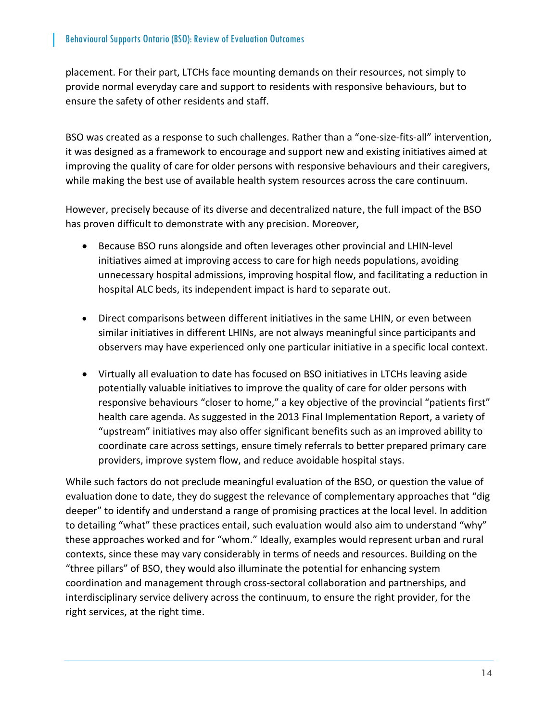placement. For their part, LTCHs face mounting demands on their resources, not simply to provide normal everyday care and support to residents with responsive behaviours, but to ensure the safety of other residents and staff.

BSO was created as a response to such challenges. Rather than a "one-size-fits-all" intervention, it was designed as a framework to encourage and support new and existing initiatives aimed at improving the quality of care for older persons with responsive behaviours and their caregivers, while making the best use of available health system resources across the care continuum.

However, precisely because of its diverse and decentralized nature, the full impact of the BSO has proven difficult to demonstrate with any precision. Moreover,

- Because BSO runs alongside and often leverages other provincial and LHIN-level initiatives aimed at improving access to care for high needs populations, avoiding unnecessary hospital admissions, improving hospital flow, and facilitating a reduction in hospital ALC beds, its independent impact is hard to separate out.
- Direct comparisons between different initiatives in the same LHIN, or even between similar initiatives in different LHINs, are not always meaningful since participants and observers may have experienced only one particular initiative in a specific local context.
- Virtually all evaluation to date has focused on BSO initiatives in LTCHs leaving aside potentially valuable initiatives to improve the quality of care for older persons with responsive behaviours "closer to home," a key objective of the provincial "patients first" health care agenda. As suggested in the 2013 Final Implementation Report, a variety of "upstream" initiatives may also offer significant benefits such as an improved ability to coordinate care across settings, ensure timely referrals to better prepared primary care providers, improve system flow, and reduce avoidable hospital stays.

While such factors do not preclude meaningful evaluation of the BSO, or question the value of evaluation done to date, they do suggest the relevance of complementary approaches that "dig deeper" to identify and understand a range of promising practices at the local level. In addition to detailing "what" these practices entail, such evaluation would also aim to understand "why" these approaches worked and for "whom." Ideally, examples would represent urban and rural contexts, since these may vary considerably in terms of needs and resources. Building on the "three pillars" of BSO, they would also illuminate the potential for enhancing system coordination and management through cross-sectoral collaboration and partnerships, and interdisciplinary service delivery across the continuum, to ensure the right provider, for the right services, at the right time.